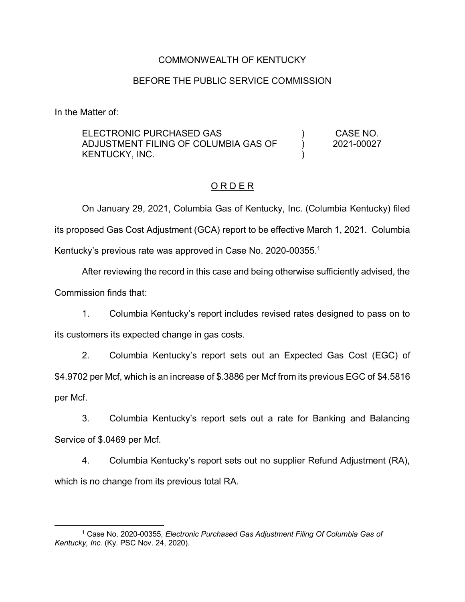## COMMONWEALTH OF KENTUCKY

## BEFORE THE PUBLIC SERVICE COMMISSION

In the Matter of:

ELECTRONIC PURCHASED GAS ADJUSTMENT FILING OF COLUMBIA GAS OF KENTUCKY, INC. ) ) ) CASE NO. 2021-00027

### O R D E R

On January 29, 2021, Columbia Gas of Kentucky, Inc. (Columbia Kentucky) filed its proposed Gas Cost Adjustment (GCA) report to be effective March 1, 2021. Columbia Kentucky's previous rate was approved in Case No. 2020-00355.<sup>1</sup>

After reviewing the record in this case and being otherwise sufficiently advised, the Commission finds that:

1. Columbia Kentucky's report includes revised rates designed to pass on to its customers its expected change in gas costs.

2. Columbia Kentucky's report sets out an Expected Gas Cost (EGC) of \$4.9702 per Mcf, which is an increase of \$.3886 per Mcf from its previous EGC of \$4.5816 per Mcf.

3. Columbia Kentucky's report sets out a rate for Banking and Balancing Service of \$.0469 per Mcf.

4. Columbia Kentucky's report sets out no supplier Refund Adjustment (RA), which is no change from its previous total RA.

 <sup>1</sup> Case No. 2020-00355, *Electronic Purchased Gas Adjustment Filing Of Columbia Gas of Kentucky, Inc.* (Ky. PSC Nov. 24, 2020).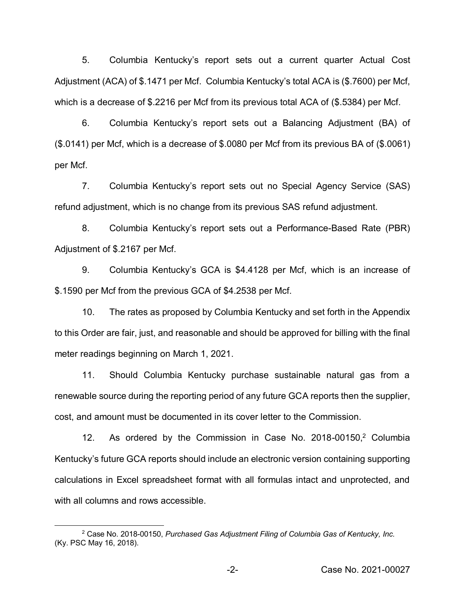5. Columbia Kentucky's report sets out a current quarter Actual Cost Adjustment (ACA) of \$.1471 per Mcf. Columbia Kentucky's total ACA is (\$.7600) per Mcf, which is a decrease of \$.2216 per Mcf from its previous total ACA of (\$.5384) per Mcf.

6. Columbia Kentucky's report sets out a Balancing Adjustment (BA) of (\$.0141) per Mcf, which is a decrease of \$.0080 per Mcf from its previous BA of (\$.0061) per Mcf.

7. Columbia Kentucky's report sets out no Special Agency Service (SAS) refund adjustment, which is no change from its previous SAS refund adjustment.

8. Columbia Kentucky's report sets out a Performance-Based Rate (PBR) Adjustment of \$.2167 per Mcf.

9. Columbia Kentucky's GCA is \$4.4128 per Mcf, which is an increase of \$.1590 per Mcf from the previous GCA of \$4.2538 per Mcf.

10. The rates as proposed by Columbia Kentucky and set forth in the Appendix to this Order are fair, just, and reasonable and should be approved for billing with the final meter readings beginning on March 1, 2021.

11. Should Columbia Kentucky purchase sustainable natural gas from a renewable source during the reporting period of any future GCA reports then the supplier, cost, and amount must be documented in its cover letter to the Commission.

12. As ordered by the Commission in Case No. 2018-00150,<sup>2</sup> Columbia Kentucky's future GCA reports should include an electronic version containing supporting calculations in Excel spreadsheet format with all formulas intact and unprotected, and with all columns and rows accessible.

 <sup>2</sup> Case No. 2018-00150, *Purchased Gas Adjustment Filing of Columbia Gas of Kentucky, Inc.*  (Ky. PSC May 16, 2018).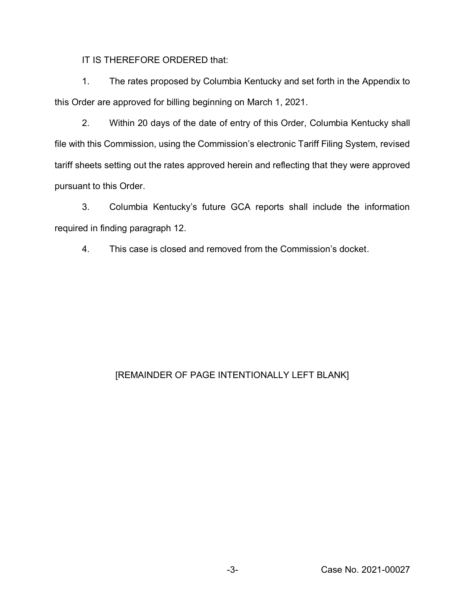IT IS THEREFORE ORDERED that:

1. The rates proposed by Columbia Kentucky and set forth in the Appendix to this Order are approved for billing beginning on March 1, 2021.

2. Within 20 days of the date of entry of this Order, Columbia Kentucky shall file with this Commission, using the Commission's electronic Tariff Filing System, revised tariff sheets setting out the rates approved herein and reflecting that they were approved pursuant to this Order.

3. Columbia Kentucky's future GCA reports shall include the information required in finding paragraph 12.

4. This case is closed and removed from the Commission's docket.

# [REMAINDER OF PAGE INTENTIONALLY LEFT BLANK]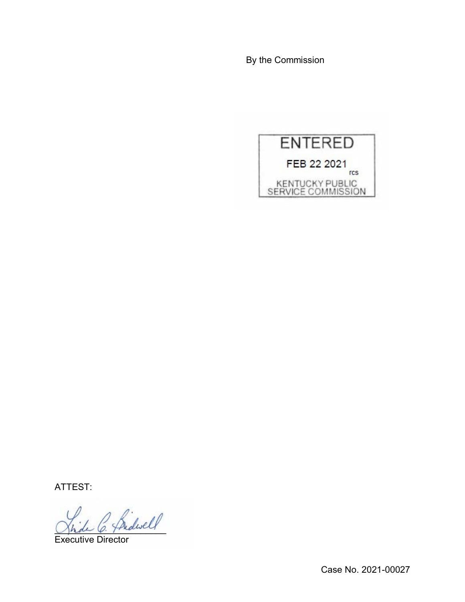By the Commission



ATTEST:

Bidwell

Executive Director

Case No. 2021-00027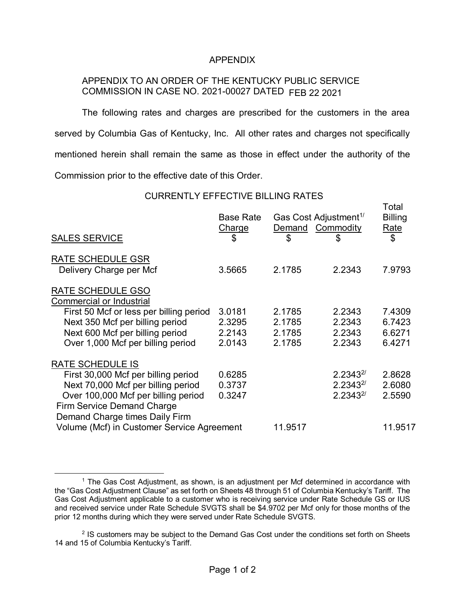#### APPENDIX

# APPENDIX TO AN ORDER OF THE KENTUCKY PUBLIC SERVICE COMMISSION IN CASE NO. 2021-00027 DATED FEB 22 2021

The following rates and charges are prescribed for the customers in the area served by Columbia Gas of Kentucky, Inc. All other rates and charges not specifically mentioned herein shall remain the same as those in effect under the authority of the Commission prior to the effective date of this Order.

CURRENTLY EFFECTIVE BILLING RATES

Total

| <b>SALES SERVICE</b>                          | <b>Base Rate</b><br><b>Charge</b><br>\$ | Gas Cost Adjustment <sup>1/</sup><br>Demand Commodity<br>\$ | \$             | i Uldi<br><b>Billing</b><br>Rate<br>\$ |
|-----------------------------------------------|-----------------------------------------|-------------------------------------------------------------|----------------|----------------------------------------|
| <b>RATE SCHEDULE GSR</b>                      |                                         |                                                             |                |                                        |
| Delivery Charge per Mcf                       | 3.5665                                  | 2.1785                                                      | 2.2343         | 7.9793                                 |
| RATE SCHEDULE GSO<br>Commercial or Industrial |                                         |                                                             |                |                                        |
| First 50 Mcf or less per billing period       | 3.0181                                  | 2.1785                                                      | 2.2343         | 7.4309                                 |
| Next 350 Mcf per billing period               | 2.3295                                  | 2.1785                                                      | 2.2343         | 6.7423                                 |
| Next 600 Mcf per billing period               | 2.2143                                  | 2.1785                                                      | 2.2343         | 6.6271                                 |
| Over 1,000 Mcf per billing period             | 2.0143                                  | 2.1785                                                      | 2.2343         | 6.4271                                 |
| RATE SCHEDULE IS                              |                                         |                                                             |                |                                        |
| First 30,000 Mcf per billing period           | 0.6285                                  |                                                             | $2.2343^{2/2}$ | 2.8628                                 |
| Next 70,000 Mcf per billing period            | 0.3737                                  |                                                             | $2.2343^{2/2}$ | 2.6080                                 |
| Over 100,000 Mcf per billing period           | 0.3247                                  |                                                             | $2.2343^{2/2}$ | 2.5590                                 |
| Firm Service Demand Charge                    |                                         |                                                             |                |                                        |
| Demand Charge times Daily Firm                |                                         |                                                             |                |                                        |
| Volume (Mcf) in Customer Service Agreement    |                                         | 11.9517                                                     |                | 11.9517                                |
|                                               |                                         |                                                             |                |                                        |

<sup>&</sup>lt;sup>1</sup> The Gas Cost Adjustment, as shown, is an adjustment per Mcf determined in accordance with the "Gas Cost Adjustment Clause" as set forth on Sheets 48 through 51 of Columbia Kentucky's Tariff. The Gas Cost Adjustment applicable to a customer who is receiving service under Rate Schedule GS or IUS and received service under Rate Schedule SVGTS shall be \$4.9702 per Mcf only for those months of the prior 12 months during which they were served under Rate Schedule SVGTS.

 $2$  IS customers may be subject to the Demand Gas Cost under the conditions set forth on Sheets 14 and 15 of Columbia Kentucky's Tariff.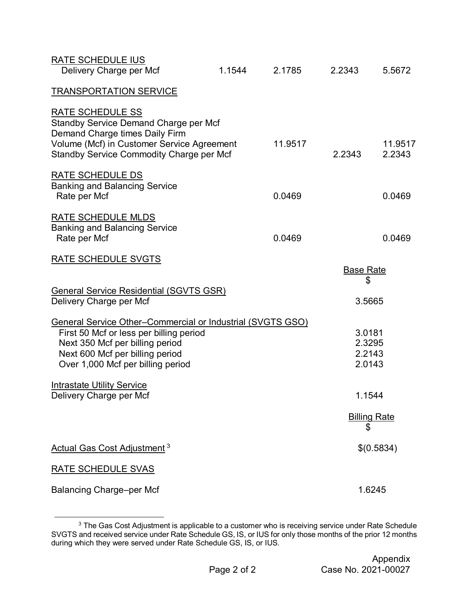| <b>RATE SCHEDULE IUS</b><br>Delivery Charge per Mcf                                                                                                                                                              | 1.1544 | 2.1785  | 2.2343                               | 5.5672              |
|------------------------------------------------------------------------------------------------------------------------------------------------------------------------------------------------------------------|--------|---------|--------------------------------------|---------------------|
| <b>TRANSPORTATION SERVICE</b>                                                                                                                                                                                    |        |         |                                      |                     |
| RATE SCHEDULE SS<br>Standby Service Demand Charge per Mcf<br>Demand Charge times Daily Firm<br>Volume (Mcf) in Customer Service Agreement<br>Standby Service Commodity Charge per Mcf                            |        | 11.9517 | 2.2343                               | 11.9517<br>2.2343   |
| <b>RATE SCHEDULE DS</b><br><b>Banking and Balancing Service</b><br>Rate per Mcf                                                                                                                                  |        | 0.0469  |                                      | 0.0469              |
| RATE SCHEDULE MLDS<br><b>Banking and Balancing Service</b><br>Rate per Mcf                                                                                                                                       |        | 0.0469  |                                      | 0.0469              |
| RATE SCHEDULE SVGTS                                                                                                                                                                                              |        |         | <b>Base Rate</b>                     |                     |
|                                                                                                                                                                                                                  |        |         | \$                                   |                     |
| <b>General Service Residential (SGVTS GSR)</b><br>Delivery Charge per Mcf                                                                                                                                        |        |         | 3.5665                               |                     |
| General Service Other-Commercial or Industrial (SVGTS GSO)<br>First 50 Mcf or less per billing period<br>Next 350 Mcf per billing period<br>Next 600 Mcf per billing period<br>Over 1,000 Mcf per billing period |        |         | 3.0181<br>2.3295<br>2.2143<br>2.0143 |                     |
| <b>Intrastate Utility Service</b><br>Delivery Charge per Mcf                                                                                                                                                     |        |         | 1.1544                               |                     |
|                                                                                                                                                                                                                  |        |         | \$                                   | <b>Billing Rate</b> |
| <b>Actual Gas Cost Adjustment<sup>3</sup></b>                                                                                                                                                                    |        |         |                                      | \$(0.5834)          |
| <b>RATE SCHEDULE SVAS</b>                                                                                                                                                                                        |        |         |                                      |                     |
| <b>Balancing Charge-per Mcf</b>                                                                                                                                                                                  |        |         |                                      | 1.6245              |

**Extending the Case Cost Adjustment is applicable to a customer who is receiving service under Rate Schedule**<br><sup>3</sup> The Gas Cost Adjustment is applicable to a customer who is receiving service under Rate Schedule SVGTS and received service under Rate Schedule GS, IS, or IUS for only those months of the prior 12 months during which they were served under Rate Schedule GS, IS, or IUS.